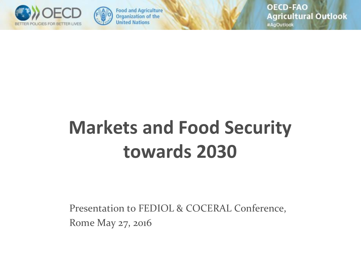



**Food and Agriculture Organization of the United Nations** 

**OECD-FAO Agricultural Outlook** 

#AgOutlook

## **Markets and Food Security towards 2030**

Presentation to FEDIOL & COCERAL Conference, Rome May 27, 2016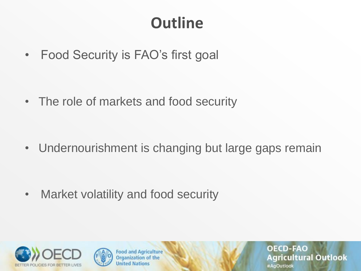### **Outline**

• Food Security is FAO's first goal

• The role of markets and food security

• Undernourishment is changing but large gaps remain

• Market volatility and food security





**Food and Agriculture Organization of the United Nations** 

**OECD-FAO Agricultural Outlook** #AgOutlook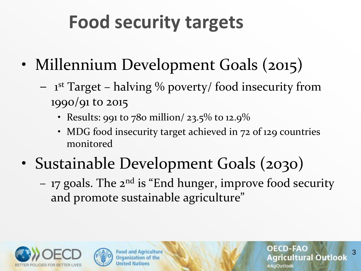## **Food security targets**

- Millennium Development Goals (2015)
	- 1 st Target halving % poverty/ food insecurity from 1990/91 to 2015
		- Results: 991 to 780 million/ 23.5% to 12.9%
		- MDG food insecurity target achieved in 72 of 129 countries monitored
- Sustainable Development Goals (2030)
	- 17 goals. The  $2^{nd}$  is "End hunger, improve food security and promote sustainable agriculture"





**Food and Agriculture** Organization of the **Jnited Nations** 

**OECD-FAO** ricultural Outlook #AgOutlook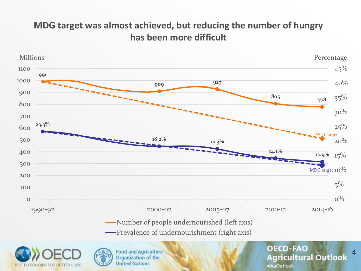#### **MDG target was almost achieved, but reducing the number of hungry has been more difficult**



- Number of people undernourished (left axis)
- Prevalence of undernourishment (right axis)

4

**OECD-FAO** 

#AgOutlook

**Agricultural Outlook** 





**Food and Agriculture Organization of the United Nations**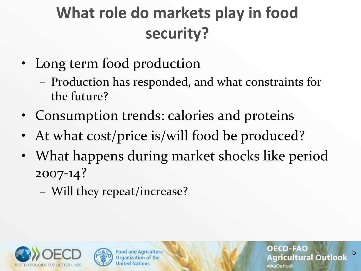### **What role do markets play in food security?**

- Long term food production
	- Production has responded, and what constraints for the future?
- Consumption trends: calories and proteins
- At what cost/price is/will food be produced?
- What happens during market shocks like period 2007-14?
	- Will they repeat/increase?





**Food and Agriculture** Organization of the **United Nations** 

**OECD-FAO** Agricultural Outlook #AgOutlook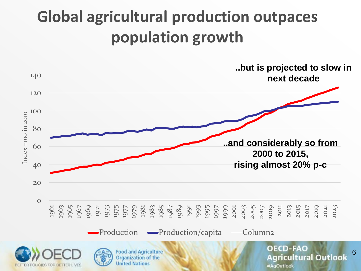### **Global agricultural production outpaces population growth**

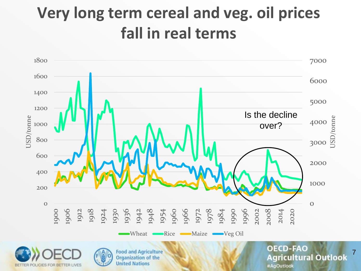### **Very long term cereal and veg. oil prices fall in real terms**



BETTER POLICIES FOR BETTER LIVES

#AgOutlook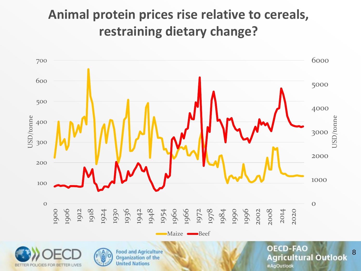### **Animal protein prices rise relative to cereals, restraining dietary change?**

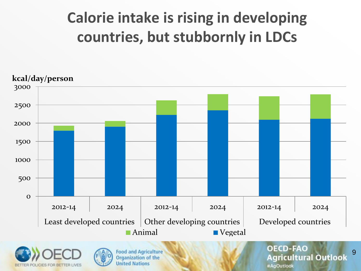### **Calorie intake is rising in developing countries, but stubbornly in LDCs**





**Food and Agriculture Organization of the United Nations** 

#### **OECD-FAO Agricultural Outlook** #AgOutlook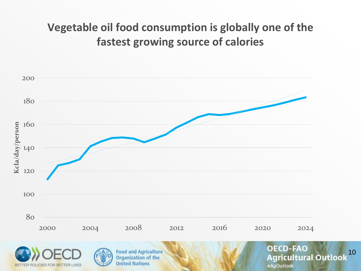#### **Vegetable oil food consumption is globally one of the fastest growing source of calories**



BETTER POLICIES FOR BETTER LIVES

#AgOutlook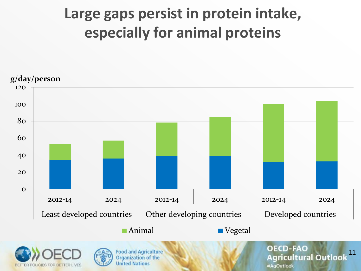### **Large gaps persist in protein intake, especially for animal proteins**



BETTER POLICIES FOR BETTER LIVES

#AgOutlook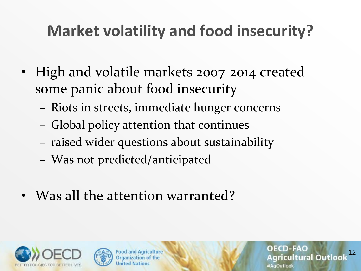### **Market volatility and food insecurity?**

- High and volatile markets 2007-2014 created some panic about food insecurity
	- Riots in streets, immediate hunger concerns
	- Global policy attention that continues
	- raised wider questions about sustainability
	- Was not predicted/anticipated
- Was all the attention warranted?





**Food and Agriculture Organization of the Inited Nations** 

12

**OECD-FAO** 

#AgOutlook

ricultural Outloo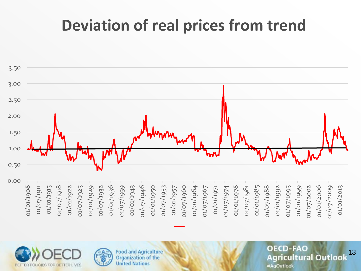### **Deviation of real prices from trend**







**Food and Agriculture Organization of the United Nations** 

**OECD-FAO** 13 **Agricultural Outlook** #AgOutlook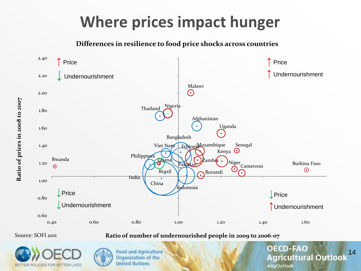### **Where prices impact hunger**

**Differences in resilience to food price shocks across countries**



**Ratio of number of undernourished people in 2009 to 2006-07**

Source: SOFI 2011





**Food and Agriculture Organization of the United Nations** 

**OECD-FAO** 14 **Agricultural Outloo** #AgOutlook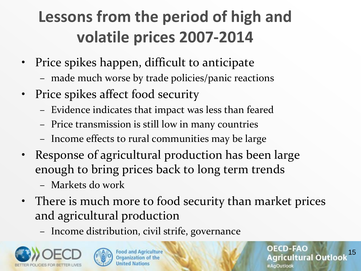## **Lessons from the period of high and volatile prices 2007-2014**

- Price spikes happen, difficult to anticipate
	- made much worse by trade policies/panic reactions
- Price spikes affect food security
	- Evidence indicates that impact was less than feared
	- Price transmission is still low in many countries
	- Income effects to rural communities may be large
- Response of agricultural production has been large enough to bring prices back to long term trends
	- Markets do work
- There is much more to food security than market prices and agricultural production
	- Income distribution, civil strife, governance





**Food and Agriculture** Organization of the **Jnited Nations** 

**OECD-FAO** 15ricultural Outloo AnOutlook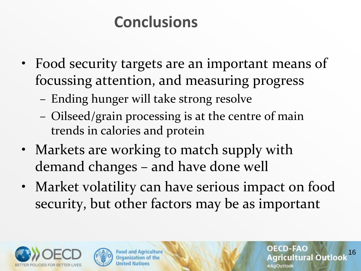### **Conclusions**

- Food security targets are an important means of focussing attention, and measuring progress
	- Ending hunger will take strong resolve
	- Oilseed/grain processing is at the centre of main trends in calories and protein
- Markets are working to match supply with demand changes – and have done well
- Market volatility can have serious impact on food security, but other factors may be as important





**Food and Agriculture** Organization of the **Inited Nations** 

**OECD-FAO** 16icultural Outloo AgOutlook